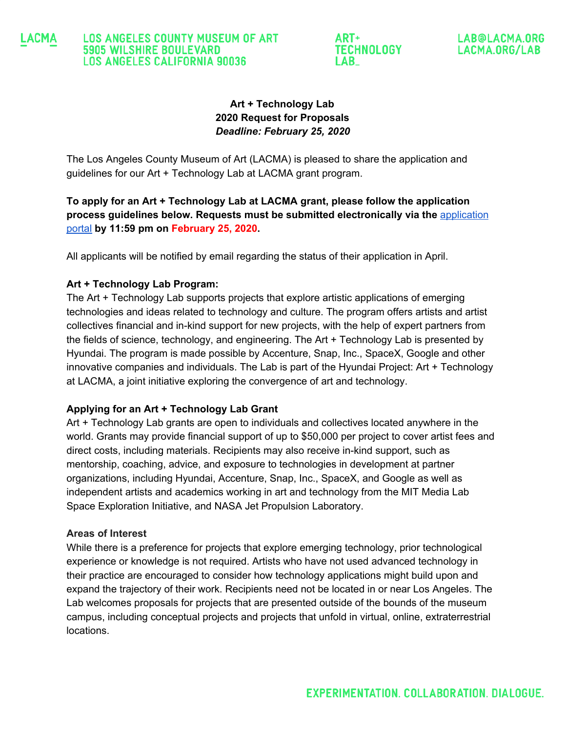#### LACMA **LOS ANGELES COUNTY MUSEUM OF ART 5905 WILSHIRE BOULEVARD LOS ANGELES CALIFORNIA 90036**

ART+ **TECHNOLOGY LAB** 

LAB@LACMA.ORG LACMA.ORG/LAB

# **Art + Technology Lab 2020 Request for Proposals** *Deadline: February 25, 2020*

The Los Angeles County Museum of Art (LACMA) is pleased to share the application and guidelines for our Art + Technology Lab at LACMA grant program.

**To apply for an Art + Technology Lab at LACMA grant, please follow the application process guidelines below. Requests must be submitted electronically via the** [application](https://formpl.us/form/845306049) [portal](https://formpl.us/form/845306049) **by 11:59 pm on February 25, 2020.**

All applicants will be notified by email regarding the status of their application in April.

## **Art + Technology Lab Program:**

The Art + Technology Lab supports projects that explore artistic applications of emerging technologies and ideas related to technology and culture. The program offers artists and artist collectives financial and in-kind support for new projects, with the help of expert partners from the fields of science, technology, and engineering. The Art + Technology Lab is presented by Hyundai. The program is made possible by Accenture, Snap, Inc., SpaceX, Google and other innovative companies and individuals. The Lab is part of the Hyundai Project: Art + Technology at LACMA, a joint initiative exploring the convergence of art and technology.

#### **Applying for an Art + Technology Lab Grant**

Art + Technology Lab grants are open to individuals and collectives located anywhere in the world. Grants may provide financial support of up to \$50,000 per project to cover artist fees and direct costs, including materials. Recipients may also receive in-kind support, such as mentorship, coaching, advice, and exposure to technologies in development at partner organizations, including Hyundai, Accenture, Snap, Inc., SpaceX, and Google as well as independent artists and academics working in art and technology from the MIT Media Lab Space Exploration Initiative, and NASA Jet Propulsion Laboratory.

#### **Areas of Interest**

While there is a preference for projects that explore emerging technology, prior technological experience or knowledge is not required. Artists who have not used advanced technology in their practice are encouraged to consider how technology applications might build upon and expand the trajectory of their work. Recipients need not be located in or near Los Angeles. The Lab welcomes proposals for projects that are presented outside of the bounds of the museum campus, including conceptual projects and projects that unfold in virtual, online, extraterrestrial locations.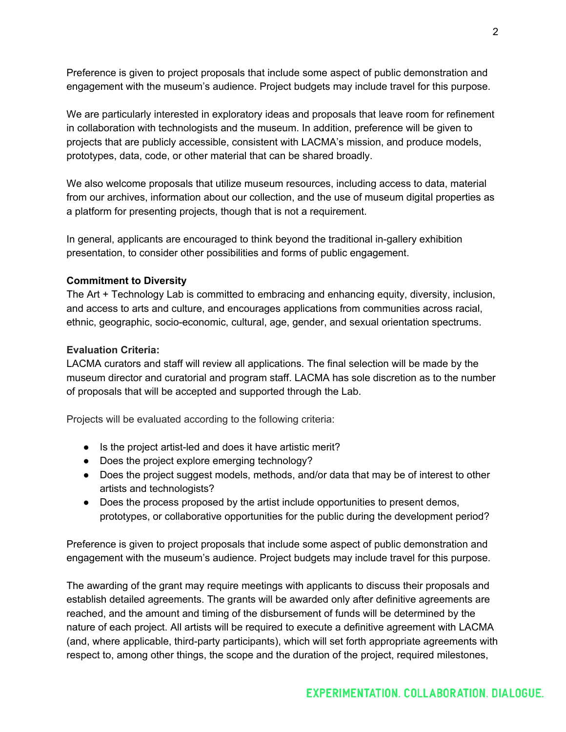Preference is given to project proposals that include some aspect of public demonstration and engagement with the museum's audience. Project budgets may include travel for this purpose.

We are particularly interested in exploratory ideas and proposals that leave room for refinement in collaboration with technologists and the museum. In addition, preference will be given to projects that are publicly accessible, consistent with LACMA's mission, and produce models, prototypes, data, code, or other material that can be shared broadly.

We also welcome proposals that utilize museum resources, including access to data, material from our archives, information about our collection, and the use of museum digital properties as a platform for presenting projects, though that is not a requirement.

In general, applicants are encouraged to think beyond the traditional in-gallery exhibition presentation, to consider other possibilities and forms of public engagement.

## **Commitment to Diversity**

The Art + Technology Lab is committed to embracing and enhancing equity, diversity, inclusion, and access to arts and culture, and encourages applications from communities across racial, ethnic, geographic, socio-economic, cultural, age, gender, and sexual orientation spectrums.

## **Evaluation Criteria:**

LACMA curators and staff will review all applications. The final selection will be made by the museum director and curatorial and program staff. LACMA has sole discretion as to the number of proposals that will be accepted and supported through the Lab.

Projects will be evaluated according to the following criteria:

- Is the project artist-led and does it have artistic merit?
- Does the project explore emerging technology?
- Does the project suggest models, methods, and/or data that may be of interest to other artists and technologists?
- Does the process proposed by the artist include opportunities to present demos, prototypes, or collaborative opportunities for the public during the development period?

Preference is given to project proposals that include some aspect of public demonstration and engagement with the museum's audience. Project budgets may include travel for this purpose.

The awarding of the grant may require meetings with applicants to discuss their proposals and establish detailed agreements. The grants will be awarded only after definitive agreements are reached, and the amount and timing of the disbursement of funds will be determined by the nature of each project. All artists will be required to execute a definitive agreement with LACMA (and, where applicable, third-party participants), which will set forth appropriate agreements with respect to, among other things, the scope and the duration of the project, required milestones,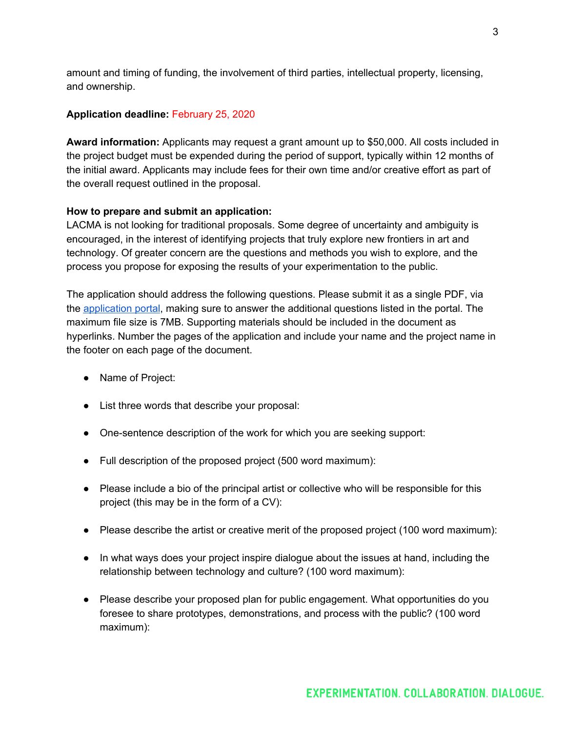amount and timing of funding, the involvement of third parties, intellectual property, licensing, and ownership.

#### **Application deadline:** February 25, 2020

**Award information:** Applicants may request a grant amount up to \$50,000. All costs included in the project budget must be expended during the period of support, typically within 12 months of the initial award. Applicants may include fees for their own time and/or creative effort as part of the overall request outlined in the proposal.

#### **How to prepare and submit an application:**

LACMA is not looking for traditional proposals. Some degree of uncertainty and ambiguity is encouraged, in the interest of identifying projects that truly explore new frontiers in art and technology. Of greater concern are the questions and methods you wish to explore, and the process you propose for exposing the results of your experimentation to the public.

The application should address the following questions. Please submit it as a single PDF, via the [application](https://formpl.us/form/845306049) portal, making sure to answer the additional questions listed in the portal. The maximum file size is 7MB. Supporting materials should be included in the document as hyperlinks. Number the pages of the application and include your name and the project name in the footer on each page of the document.

- Name of Project:
- List three words that describe your proposal:
- One-sentence description of the work for which you are seeking support:
- Full description of the proposed project (500 word maximum):
- Please include a bio of the principal artist or collective who will be responsible for this project (this may be in the form of a CV):
- Please describe the artist or creative merit of the proposed project (100 word maximum):
- In what ways does your project inspire dialogue about the issues at hand, including the relationship between technology and culture? (100 word maximum):
- Please describe your proposed plan for public engagement. What opportunities do you foresee to share prototypes, demonstrations, and process with the public? (100 word maximum):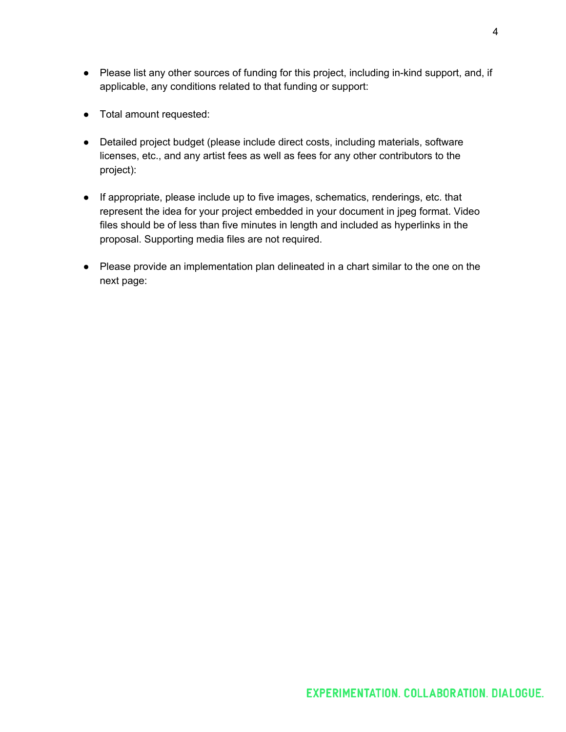- Please list any other sources of funding for this project, including in-kind support, and, if applicable, any conditions related to that funding or support:
- Total amount requested:
- Detailed project budget (please include direct costs, including materials, software licenses, etc., and any artist fees as well as fees for any other contributors to the project):
- If appropriate, please include up to five images, schematics, renderings, etc. that represent the idea for your project embedded in your document in jpeg format. Video files should be of less than five minutes in length and included as hyperlinks in the proposal. Supporting media files are not required.
- Please provide an implementation plan delineated in a chart similar to the one on the next page: